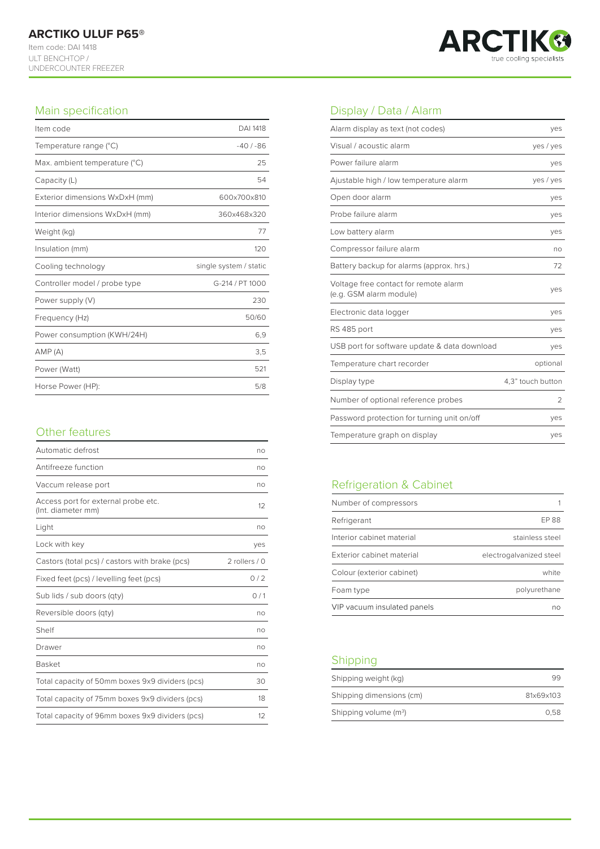ULT BENCHTOP / UNDERCOUNTER FREEZER



### Main specification

| Item code                      | <b>DAI 1418</b>        |
|--------------------------------|------------------------|
| Temperature range (°C)         | $-40/ -86$             |
| Max. ambient temperature (°C)  | 25                     |
| Capacity (L)                   | 54                     |
| Exterior dimensions WxDxH (mm) | 600x700x810            |
| Interior dimensions WxDxH (mm) | 360x468x320            |
| Weight (kg)                    | 77                     |
| Insulation (mm)                | 120                    |
|                                |                        |
| Cooling technology             | single system / static |
| Controller model / probe type  | G-214 / PT 1000        |
| Power supply (V)               | 230                    |
| Frequency (Hz)                 | 50/60                  |
| Power consumption (KWH/24H)    | 6,9                    |
| AMP(A)                         | 3,5                    |
| Power (Watt)                   | 521                    |

# Other features Temperature graph on display yes

| Automatic defrost                                         | no              |
|-----------------------------------------------------------|-----------------|
| Antifreeze function                                       | no              |
| Vaccum release port                                       | no              |
| Access port for external probe etc.<br>(Int. diameter mm) | $12^{1}$        |
| Light                                                     | no              |
| Lock with key                                             | yes             |
| Castors (total pcs) / castors with brake (pcs)            | 2 rollers $/ 0$ |
| Fixed feet (pcs) / levelling feet (pcs)                   | 0/2             |
| Sub lids / sub doors (qty)                                | 0/1             |
| Reversible doors (qty)                                    | no              |
| Shelf                                                     | no              |
| Drawer                                                    | no              |
| <b>Basket</b>                                             | no              |
| Total capacity of 50mm boxes 9x9 dividers (pcs)           | 30              |
| Total capacity of 75mm boxes 9x9 dividers (pcs)           | 18              |
| Total capacity of 96mm boxes 9x9 dividers (pcs)           | 12              |

## Display / Data / Alarm

| Alarm display as text (not codes)                                | yes               |
|------------------------------------------------------------------|-------------------|
| Visual / acoustic alarm                                          | yes / yes         |
| Power failure alarm                                              | yes               |
| Ajustable high / low temperature alarm                           | yes / yes         |
| Open door alarm                                                  | yes               |
| Probe failure alarm                                              | yes               |
| Low battery alarm                                                | yes               |
| Compressor failure alarm                                         | no                |
| Battery backup for alarms (approx. hrs.)                         | 72                |
| Voltage free contact for remote alarm<br>(e.g. GSM alarm module) | ves               |
| Electronic data logger                                           | yes               |
| RS 485 port                                                      | yes               |
| USB port for software update & data download                     | yes               |
| Temperature chart recorder                                       | optional          |
| Display type                                                     | 4.3" touch button |
| Number of optional reference probes                              | 2                 |
| Password protection for turning unit on/off                      | yes               |
| Temperature graph on display                                     | yes               |

# Refrigeration & Cabinet

| Number of compressors       |                         |
|-----------------------------|-------------------------|
| Refrigerant                 | FP 88                   |
| Interior cabinet material   | stainless steel         |
| Exterior cabinet material   | electrogalvanized steel |
| Colour (exterior cabinet)   | white                   |
| Foam type                   | polyurethane            |
| VIP vacuum insulated panels | nΩ                      |

### Shipping

| Shipping weight (kg)     |           |
|--------------------------|-----------|
| Shipping dimensions (cm) | 81x69x103 |
| Shipping volume $(m^3)$  | 0.58      |